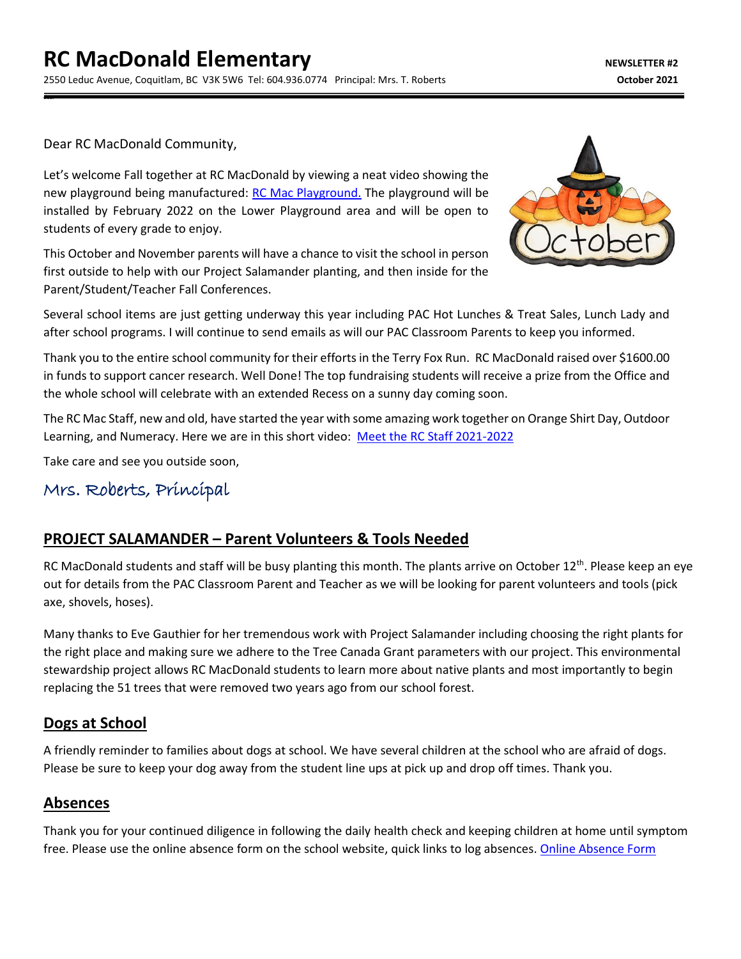Dear RC MacDonald Community,

dear

Let's welcome Fall together at RC MacDonald by viewing a neat video showing the new playground being manufactured: [RC Mac Playground.](https://youtu.be/nd_O7f0NR9U) The playground will be installed by February 2022 on the Lower Playground area and will be open to students of every grade to enjoy.

This October and November parents will have a chance to visit the school in person first outside to help with our Project Salamander planting, and then inside for the Parent/Student/Teacher Fall Conferences.



Several school items are just getting underway this year including PAC Hot Lunches & Treat Sales, Lunch Lady and after school programs. I will continue to send emails as will our PAC Classroom Parents to keep you informed.

Thank you to the entire school community for their efforts in the Terry Fox Run. RC MacDonald raised over \$1600.00 in funds to support cancer research. Well Done! The top fundraising students will receive a prize from the Office and the whole school will celebrate with an extended Recess on a sunny day coming soon.

The RC Mac Staff, new and old, have started the year with some amazing work together on Orange Shirt Day, Outdoor Learning, and Numeracy. Here we are in this short video: [Meet the RC Staff 2021-2022](https://youtu.be/qW-CRBKunuk)

Take care and see you outside soon,

## Mrs. Roberts, Principal

#### **PROJECT SALAMANDER – Parent Volunteers & Tools Needed**

RC MacDonald students and staff will be busy planting this month. The plants arrive on October  $12^{th}$ . Please keep an eye out for details from the PAC Classroom Parent and Teacher as we will be looking for parent volunteers and tools (pick axe, shovels, hoses).

Many thanks to Eve Gauthier for her tremendous work with Project Salamander including choosing the right plants for the right place and making sure we adhere to the Tree Canada Grant parameters with our project. This environmental stewardship project allows RC MacDonald students to learn more about native plants and most importantly to begin replacing the 51 trees that were removed two years ago from our school forest.

#### **Dogs at School**

A friendly reminder to families about dogs at school. We have several children at the school who are afraid of dogs. Please be sure to keep your dog away from the student line ups at pick up and drop off times. Thank you.

#### **Absences**

Thank you for your continued diligence in following the daily health check and keeping children at home until symptom free. Please use the online absence form on the school website, quick links to log absences. [Online Absence Form](https://www2016.sd43.bc.ca/eforms/_layouts/15/FormServer.aspx?XsnLocation=http://www2016.sd43.bc.ca/eforms/AbsenceReportForm/Forms/template.xsn&OpenIn=browser&SaveLocation=http://www2016.sd43.bc.ca/eforms/AbsenceReportForm&Source=http://www2016.sd43.bc.ca/eforms/AbsenceReportForm)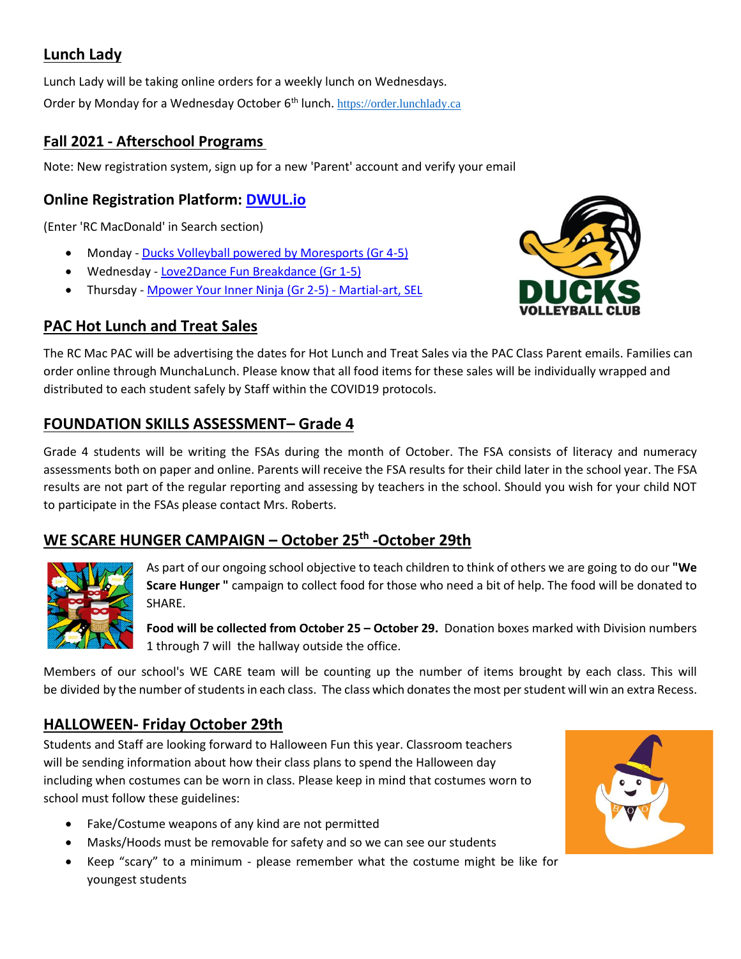## **Lunch Lady**

Lunch Lady will be taking online orders for a weekly lunch on Wednesdays. Order by Monday for a Wednesday October 6<sup>th</sup> lunch. [https://order.lunchlady.ca](https://order.lunchlady.ca/)

#### **Fall 2021 - Afterschool Programs**

Note: New registration system, sign up for a new 'Parent' account and verify your email

## **Online Registration Platform: [DWUL.io](https://mailtrack.io/trace/link/468e9c2e9519dec7dcd261a240bbc5159482ef57?url=http%3A%2F%2FDWUL.io&userId=4177264&signature=a0f67a5045e2a503)**

(Enter 'RC MacDonald' in Search section)

- Monday [Ducks Volleyball powered by Moresports \(Gr 4-5\)](https://mailtrack.io/trace/link/0d9d2de81710ce1d7c89629497a7345508c57015?url=https%3A%2F%2Fwww.dwul.io%2Fdetail%2F72%3Ftype%3Dprogram%23RC-MacDonald%3A%2520Ducks%2520Volleyball%2520Powered%2520By%2520Moresports&userId=4177264&signature=3d1afcf02d1f9ba2)
- Wednesday [Love2Dance Fun Breakdance \(Gr 1-5\)](https://mailtrack.io/trace/link/eff6c7f45d3b082ba94126dc4b48b23687e88498?url=https%3A%2F%2Fwww.dwul.io%2Fdetail%2F74%3Ftype%3Dprogram%23RC-MacDonald%3A%2520Love2Dance%2520Fun%2520Breakdance&userId=4177264&signature=5ca6e3f2553e446a)
- Thursday [Mpower Your Inner Ninja \(Gr 2-5\) -](https://mailtrack.io/trace/link/5857576ac6807f9ea9582f1f3fb0ec12b428f9cb?url=https%3A%2F%2Fwww.dwul.io%2Fdetail%2F75%3Ftype%3Dprogram%23RC-MacDonald%3A%2520Mpower%2520Your%2520Inner%2520Ninja%2520(Thursday)&userId=4177264&signature=d0ca5d4845a073a3) Martial-art, SEL

## **PAC Hot Lunch and Treat Sales**



The RC Mac PAC will be advertising the dates for Hot Lunch and Treat Sales via the PAC Class Parent emails. Families can order online through MunchaLunch. Please know that all food items for these sales will be individually wrapped and distributed to each student safely by Staff within the COVID19 protocols.

## **FOUNDATION SKILLS ASSESSMENT– Grade 4**

Grade 4 students will be writing the FSAs during the month of October. The FSA consists of literacy and numeracy assessments both on paper and online. Parents will receive the FSA results for their child later in the school year. The FSA results are not part of the regular reporting and assessing by teachers in the school. Should you wish for your child NOT to participate in the FSAs please contact Mrs. Roberts.

## **WE SCARE HUNGER CAMPAIGN – October 25 th -October 29th**



As part of our ongoing school objective to teach children to think of others we are going to do our **"We Scare Hunger "** campaign to collect food for those who need a bit of help. The food will be donated to SHARE.

**Food will be collected from October 25 – October 29.** Donation boxes marked with Division numbers 1 through 7 will the hallway outside the office.

Members of our school's WE CARE team will be counting up the number of items brought by each class. This will be divided by the number of students in each class. The class which donates the most per student will win an extra Recess.

## **HALLOWEEN- Friday October 29th**

Students and Staff are looking forward to Halloween Fun this year. Classroom teachers will be sending information about how their class plans to spend the Halloween day including when costumes can be worn in class. Please keep in mind that costumes worn to school must follow these guidelines:

- Fake/Costume weapons of any kind are not permitted
- Masks/Hoods must be removable for safety and so we can see our students
- Keep "scary" to a minimum please remember what the costume might be like for youngest students

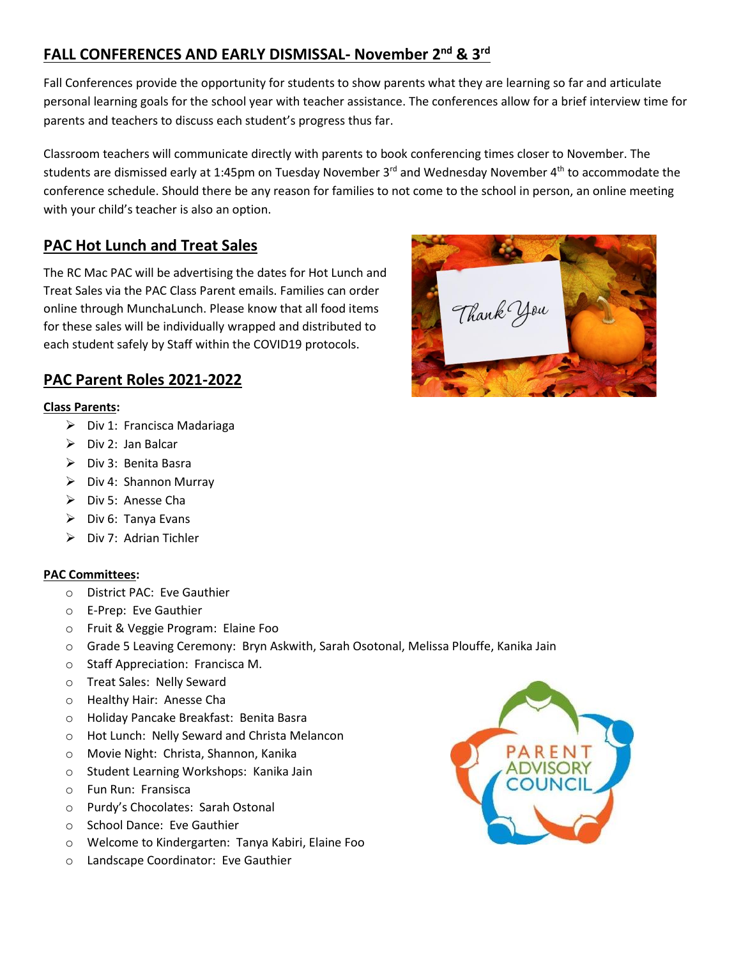# **FALL CONFERENCES AND EARLY DISMISSAL- November 2nd & 3rd**

Fall Conferences provide the opportunity for students to show parents what they are learning so far and articulate personal learning goals for the school year with teacher assistance. The conferences allow for a brief interview time for parents and teachers to discuss each student's progress thus far.

Classroom teachers will communicate directly with parents to book conferencing times closer to November. The students are dismissed early at 1:45pm on Tuesday November 3<sup>rd</sup> and Wednesday November 4<sup>th</sup> to accommodate the conference schedule. Should there be any reason for families to not come to the school in person, an online meeting with your child's teacher is also an option.

#### **PAC Hot Lunch and Treat Sales**

The RC Mac PAC will be advertising the dates for Hot Lunch and Treat Sales via the PAC Class Parent emails. Families can order online through MunchaLunch. Please know that all food items for these sales will be individually wrapped and distributed to each student safely by Staff within the COVID19 protocols.

#### **PAC Parent Roles 2021-2022**

#### **Class Parents:**

- ➢ Div 1: Francisca Madariaga
- $\triangleright$  Div 2: Jan Balcar
- ➢ Div 3: Benita Basra
- ➢ Div 4: Shannon Murray
- ➢ Div 5: Anesse Cha
- ➢ Div 6: Tanya Evans
- $\triangleright$  Div 7: Adrian Tichler

#### **PAC Committees:**

- o District PAC: Eve Gauthier
- o E-Prep: Eve Gauthier
- o Fruit & Veggie Program: Elaine Foo
- o Grade 5 Leaving Ceremony: Bryn Askwith, Sarah Osotonal, Melissa Plouffe, Kanika Jain
- o Staff Appreciation: Francisca M.
- o Treat Sales: Nelly Seward
- o Healthy Hair: Anesse Cha
- o Holiday Pancake Breakfast: Benita Basra
- o Hot Lunch: Nelly Seward and Christa Melancon
- o Movie Night: Christa, Shannon, Kanika
- o Student Learning Workshops: Kanika Jain
- o Fun Run: Fransisca
- o Purdy's Chocolates: Sarah Ostonal
- o School Dance: Eve Gauthier
- o Welcome to Kindergarten: Tanya Kabiri, Elaine Foo
- o Landscape Coordinator: Eve Gauthier



Thank You